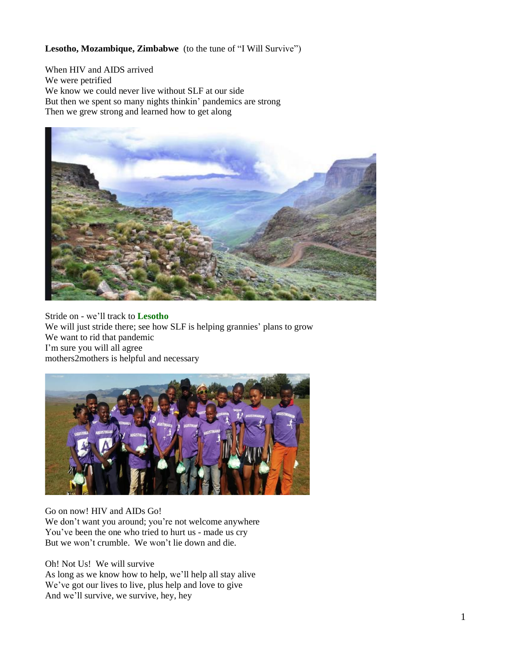## **Lesotho, Mozambique, Zimbabwe** (to the tune of "I Will Survive")

When HIV and AIDS arrived We were petrified We know we could never live without SLF at our side But then we spent so many nights thinkin' pandemics are strong Then we grew strong and learned how to get along



Stride on - we'll track to **Lesotho** We will just stride there; see how SLF is helping grannies' plans to grow We want to rid that pandemic I'm sure you will all agree mothers2mothers is helpful and necessary



## Go on now! HIV and AIDs Go!

We don't want you around; you're not welcome anywhere You've been the one who tried to hurt us - made us cry But we won't crumble. We won't lie down and die.

Oh! Not Us! We will survive

As long as we know how to help, we'll help all stay alive We've got our lives to live, plus help and love to give And we'll survive, we survive, hey, hey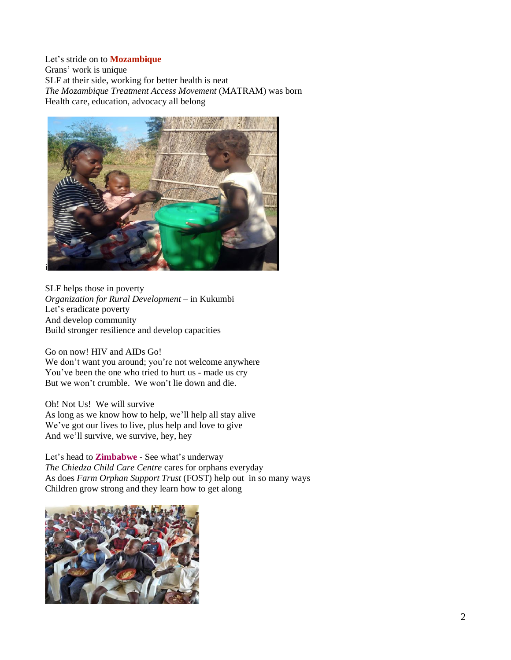Let's stride on to **Mozambique** Grans' work is unique SLF at their side, working for better health is neat *The Mozambique Treatment Access Movement* (MATRAM) was born Health care, education, advocacy all belong



SLF helps those in poverty *Organization for Rural Development* – in Kukumbi Let's eradicate poverty And develop community Build stronger resilience and develop capacities

Go on now! HIV and AIDs Go!

We don't want you around; you're not welcome anywhere You've been the one who tried to hurt us - made us cry But we won't crumble. We won't lie down and die.

Oh! Not Us! We will survive As long as we know how to help, we'll help all stay alive We've got our lives to live, plus help and love to give And we'll survive, we survive, hey, hey

Let's head to **Zimbabwe** - See what's underway *The Chiedza Child Care Centre* cares for orphans everyday As does *Farm Orphan Support Trust* (FOST) help out in so many ways Children grow strong and they learn how to get along